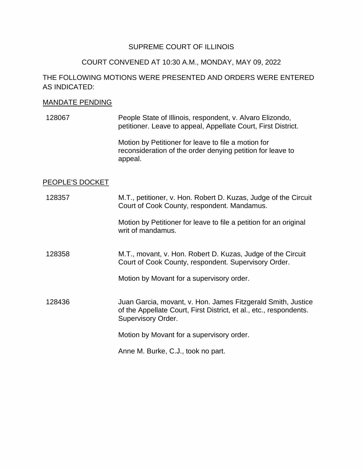# SUPREME COURT OF ILLINOIS

## COURT CONVENED AT 10:30 A.M., MONDAY, MAY 09, 2022

# THE FOLLOWING MOTIONS WERE PRESENTED AND ORDERS WERE ENTERED AS INDICATED:

#### MANDATE PENDING

128067 People State of Illinois, respondent, v. Alvaro Elizondo, petitioner. Leave to appeal, Appellate Court, First District.

> reconsideration of the order denying petition for leave to Motion by Petitioner for leave to file a motion for appeal.

#### PEOPLE'S DOCKET

 128358 M.T., movant, v. Hon. Robert D. Kuzas, Judge of the Circuit 128436 Juan Garcia, movant, v. Hon. James Fitzgerald Smith, Justice 128357 M.T., petitioner, v. Hon. Robert D. Kuzas, Judge of the Circuit Court of Cook County, respondent. Mandamus. Motion by Petitioner for leave to file a petition for an original writ of mandamus. Court of Cook County, respondent. Supervisory Order. Motion by Movant for a supervisory order. of the Appellate Court, First District, et al., etc., respondents. Supervisory Order. Motion by Movant for a supervisory order.

Anne M. Burke, C.J., took no part.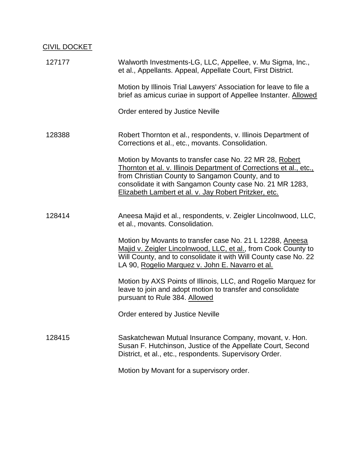# CIVIL DOCKET

| 127177 | Walworth Investments-LG, LLC, Appellee, v. Mu Sigma, Inc.,<br>et al., Appellants. Appeal, Appellate Court, First District.                                                                                                                                                                              |
|--------|---------------------------------------------------------------------------------------------------------------------------------------------------------------------------------------------------------------------------------------------------------------------------------------------------------|
|        | Motion by Illinois Trial Lawyers' Association for leave to file a<br>brief as amicus curiae in support of Appellee Instanter. Allowed                                                                                                                                                                   |
|        | Order entered by Justice Neville                                                                                                                                                                                                                                                                        |
| 128388 | Robert Thornton et al., respondents, v. Illinois Department of<br>Corrections et al., etc., movants. Consolidation.                                                                                                                                                                                     |
|        | Motion by Movants to transfer case No. 22 MR 28, Robert<br>Thornton et al. v. Illinois Department of Corrections et al., etc.,<br>from Christian County to Sangamon County, and to<br>consolidate it with Sangamon County case No. 21 MR 1283,<br>Elizabeth Lambert et al. v. Jay Robert Pritzker, etc. |
| 128414 | Aneesa Majid et al., respondents, v. Zeigler Lincolnwood, LLC,<br>et al., movants. Consolidation.                                                                                                                                                                                                       |
|        | Motion by Movants to transfer case No. 21 L 12288, Aneesa<br>Majid v. Zeigler Lincolnwood, LLC, et al., from Cook County to<br>Will County, and to consolidate it with Will County case No. 22<br>LA 90, Rogelio Marquez v. John E. Navarro et al.                                                      |
|        | Motion by AXS Points of Illinois, LLC, and Rogelio Marquez for<br>leave to join and adopt motion to transfer and consolidate<br>pursuant to Rule 384. Allowed                                                                                                                                           |
|        | Order entered by Justice Neville                                                                                                                                                                                                                                                                        |
| 128415 | Saskatchewan Mutual Insurance Company, movant, v. Hon.<br>Susan F. Hutchinson, Justice of the Appellate Court, Second<br>District, et al., etc., respondents. Supervisory Order.                                                                                                                        |
|        | Motion by Movant for a supervisory order.                                                                                                                                                                                                                                                               |